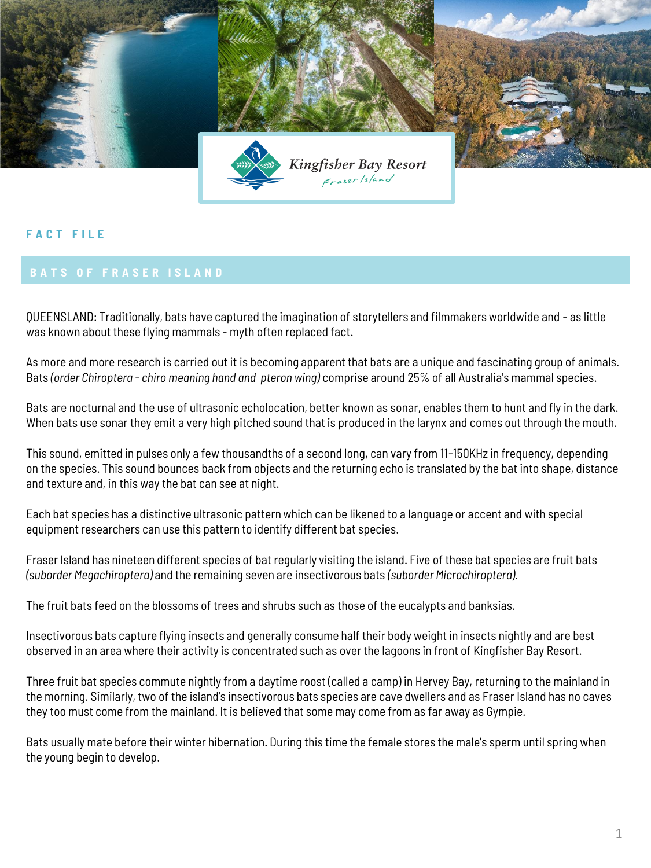

## **F A C T F I L E**

## **BATS OF FRASER ISLAND**

QUEENSLAND: Traditionally, bats have captured the imagination of storytellers and filmmakers worldwide and - as little was known about these flying mammals - myth often replaced fact.

As more and more research is carried out it is becoming apparent that bats are a unique and fascinating group of animals. Bats *(order Chiroptera - chiro meaning hand and pteron wing)* comprise around 25% of all Australia's mammal species.

Bats are nocturnal and the use of ultrasonic echolocation, better known as sonar, enables them to hunt and fly in the dark. When bats use sonar they emit a very high pitched sound that is produced in the larynx and comes out through the mouth.

This sound, emitted in pulses only a few thousandths of a second long, can vary from 11-150KHz in frequency, depending on the species. This sound bounces back from objects and the returning echo is translated by the bat into shape, distance and texture and, in this way the bat can see at night.

Each bat species has a distinctive ultrasonic pattern which can be likened to a language or accent and with special equipment researchers can use this pattern to identify different bat species.

Fraser Island has nineteen different species of bat regularly visiting the island. Five of these bat species are fruit bats *(suborder Megachiroptera)* and the remaining seven are insectivorous bats *(suborder Microchiroptera).* 

The fruit bats feed on the blossoms of trees and shrubs such as those of the eucalypts and banksias.

Insectivorous bats capture flying insects and generally consume half their body weight in insects nightly and are best observed in an area where their activity is concentrated such as over the lagoons in front of Kingfisher Bay Resort.

Three fruit bat species commute nightly from a daytime roost (called a camp) in Hervey Bay, returning to the mainland in the morning. Similarly, two of the island's insectivorous bats species are cave dwellers and as Fraser Island has no caves they too must come from the mainland. It is believed that some may come from as far away as Gympie.

Bats usually mate before their winter hibernation. During this time the female stores the male's sperm until spring when the young begin to develop.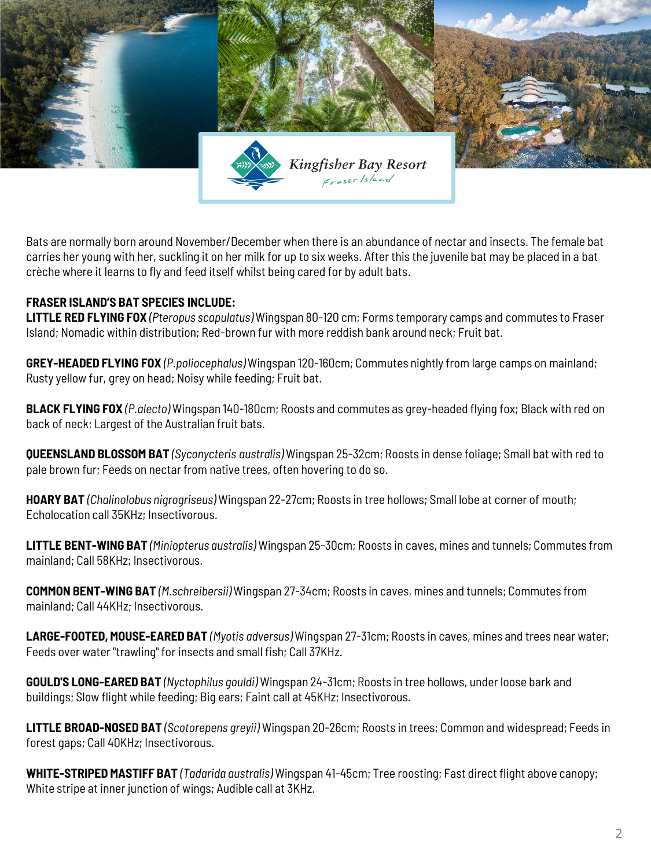

Bats are normally born around November/December when there is an abundance of nectar and insects. The female bat carries her young with her, suckling it on her milk for up to six weeks. After this the juvenile bat may be placed in a bat crèche where it learns to fly and feed itself whilst being cared for by adult bats.

## **FRASER ISLAND'S BAT SPECIES INCLUDE:**

**LITTLE RED FLYING FOX** *(Pteropus scapulatus)* Wingspan 80-120 cm; Forms temporary camps and commutes to Fraser Island; Nomadic within distribution; Red-brown fur with more reddish bank around neck; Fruit bat.

**GREY-HEADED FLYING FOX** *(P.poliocephalus)* Wingspan 120-160cm; Commutes nightly from large camps on mainland; Rusty yellow fur, grey on head; Noisy while feeding; Fruit bat.

**BLACK FLYING FOX** *(P.alecto)* Wingspan 140-180cm; Roosts and commutes as grey-headed flying fox; Black with red on back of neck; Largest of the Australian fruit bats.

**QUEENSLAND BLOSSOM BAT** *(Syconycteris australis)* Wingspan 25-32cm; Roosts in dense foliage; Small bat with red to pale brown fur; Feeds on nectar from native trees, often hovering to do so.

**HOARY BAT** *(Chalinolobus nigrogriseus)* Wingspan 22-27cm; Roosts in tree hollows; Small lobe at corner of mouth; Echolocation call 35KHz; Insectivorous.

**LITTLE BENT-WING BAT** *(Miniopterus australis)* Wingspan 25-30cm; Roosts in caves, mines and tunnels; Commutes from mainland; Call 58KHz; Insectivorous.

**COMMON BENT-WING BAT** *(M.schreibersii)* Wingspan 27-34cm; Roosts in caves, mines and tunnels; Commutes from mainland; Call 44KHz; Insectivorous.

**LARGE-FOOTED, MOUSE-EARED BAT** *(Myotis adversus)* Wingspan 27-31cm; Roosts in caves, mines and trees near water; Feeds over water "trawling" for insects and small fish; Call 37KHz.

**GOULD'S LONG-EARED BAT** *(Nyctophilus gouldi)* Wingspan 24-31cm; Roosts in tree hollows, under loose bark and buildings; Slow flight while feeding; Big ears; Faint call at 45KHz; Insectivorous.

**LITTLE BROAD-NOSED BAT** *(Scotorepens greyii)* Wingspan 20-26cm; Roosts in trees; Common and widespread; Feeds in forest gaps; Call 40KHz; Insectivorous.

**WHITE-STRIPED MASTIFF BAT** *(Tadarida australis)* Wingspan 41-45cm; Tree roosting; Fast direct flight above canopy; White stripe at inner junction of wings; Audible call at 3KHz.